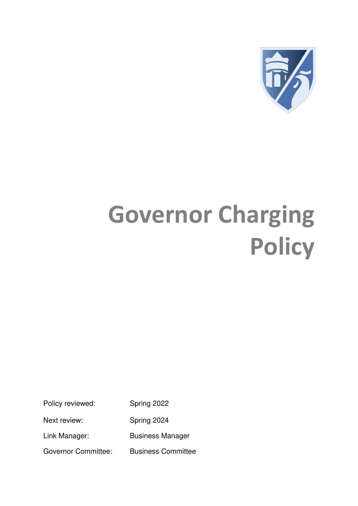

# **Governor Charging Policy**

Policy reviewed: Spring 2022

Next review: Spring 2024

Link Manager: Business Manager

Governor Committee: Business Committee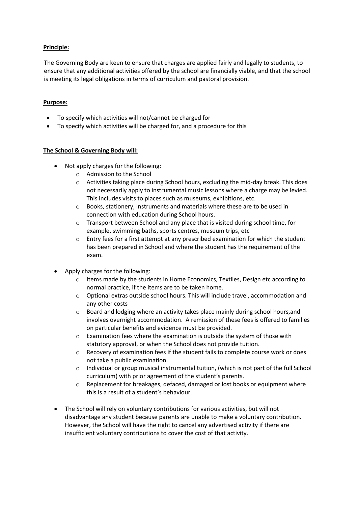## **Principle:**

The Governing Body are keen to ensure that charges are applied fairly and legally to students, to ensure that any additional activities offered by the school are financially viable, and that the school is meeting its legal obligations in terms of curriculum and pastoral provision.

### **Purpose:**

- To specify which activities will not/cannot be charged for
- To specify which activities will be charged for, and a procedure for this

### **The School & Governing Body will:**

- Not apply charges for the following:
	- o Admission to the School
	- $\circ$  Activities taking place during School hours, excluding the mid-day break. This does not necessarily apply to instrumental music lessons where a charge may be levied. This includes visits to places such as museums, exhibitions, etc.
	- o Books, stationery, instruments and materials where these are to be used in connection with education during School hours.
	- o Transport between School and any place that is visited during school time, for example, swimming baths, sports centres, museum trips, etc
	- $\circ$  Entry fees for a first attempt at any prescribed examination for which the student has been prepared in School and where the student has the requirement of the exam.
- Apply charges for the following:
	- o Items made by the students in Home Economics, Textiles, Design etc according to normal practice, if the items are to be taken home.
	- o Optional extras outside school hours. This will include travel, accommodation and any other costs
	- o Board and lodging where an activity takes place mainly during school hours,and involves overnight accommodation. A remission of these fees is offered to families on particular benefits and evidence must be provided.
	- o Examination fees where the examination is outside the system of those with statutory approval, or when the School does not provide tuition.
	- $\circ$  Recovery of examination fees if the student fails to complete course work or does not take a public examination.
	- $\circ$  Individual or group musical instrumental tuition, (which is not part of the full School curriculum) with prior agreement of the student's parents.
	- o Replacement for breakages, defaced, damaged or lost books or equipment where this is a result of a student's behaviour.
- The School will rely on voluntary contributions for various activities, but will not disadvantage any student because parents are unable to make a voluntary contribution. However, the School will have the right to cancel any advertised activity if there are insufficient voluntary contributions to cover the cost of that activity.